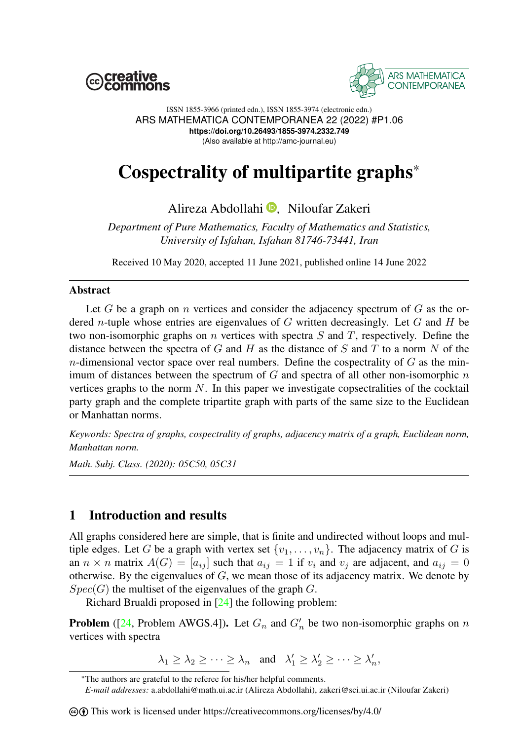



ISSN 1855-3966 (printed edn.), ISSN 1855-3974 (electronic edn.) ARS MATHEMATICA CONTEMPORANEA 22 (2022) #P1.06 **https://doi.org/10.26493/1855-3974.2332.749** (Also available at http://amc-journal.eu)

# Cospectrality of multipartite graphs\*

## Alireza Abdollahi **D**. Niloufar Zakeri

*Department of Pure Mathematics, Faculty of Mathematics and Statistics, University of Isfahan, Isfahan 81746-73441, Iran*

Received 10 May 2020, accepted 11 June 2021, published online 14 June 2022

#### Abstract

Let  $G$  be a graph on  $n$  vertices and consider the adjacency spectrum of  $G$  as the ordered n-tuple whose entries are eigenvalues of  $G$  written decreasingly. Let  $G$  and  $H$  be two non-isomorphic graphs on n vertices with spectra S and T, respectively. Define the distance between the spectra of G and H as the distance of S and T to a norm N of the  $n$ -dimensional vector space over real numbers. Define the cospectrality of  $G$  as the minimum of distances between the spectrum of  $G$  and spectra of all other non-isomorphic  $n$ vertices graphs to the norm  $N$ . In this paper we investigate copsectralities of the cocktail party graph and the complete tripartite graph with parts of the same size to the Euclidean or Manhattan norms.

*Keywords: Spectra of graphs, cospectrality of graphs, adjacency matrix of a graph, Euclidean norm, Manhattan norm.*

*Math. Subj. Class. (2020): 05C50, 05C31*

## 1 Introduction and results

All graphs considered here are simple, that is finite and undirected without loops and multiple edges. Let G be a graph with vertex set  $\{v_1, \ldots, v_n\}$ . The adjacency matrix of G is an  $n \times n$  matrix  $A(G) = [a_{ij}]$  such that  $a_{ij} = 1$  if  $v_i$  and  $v_j$  are adjacent, and  $a_{ij} = 0$ otherwise. By the eigenvalues of  $G$ , we mean those of its adjacency matrix. We denote by  $Spec(G)$  the multiset of the eigenvalues of the graph G.

Richard Brualdi proposed in [\[24\]](#page-14-0) the following problem:

**Problem** ([\[24,](#page-14-0) Problem AWGS.4]). Let  $G_n$  and  $G'_n$  be two non-isomorphic graphs on n vertices with spectra

 $\lambda_1 \geq \lambda_2 \geq \cdots \geq \lambda_n$  and  $\lambda'_1 \geq \lambda'_2 \geq \cdots \geq \lambda'_n$ ,

<sup>\*</sup>The authors are grateful to the referee for his/her helpful comments.

*E-mail addresses:* a.abdollahi@math.ui.ac.ir (Alireza Abdollahi), zakeri@sci.ui.ac.ir (Niloufar Zakeri)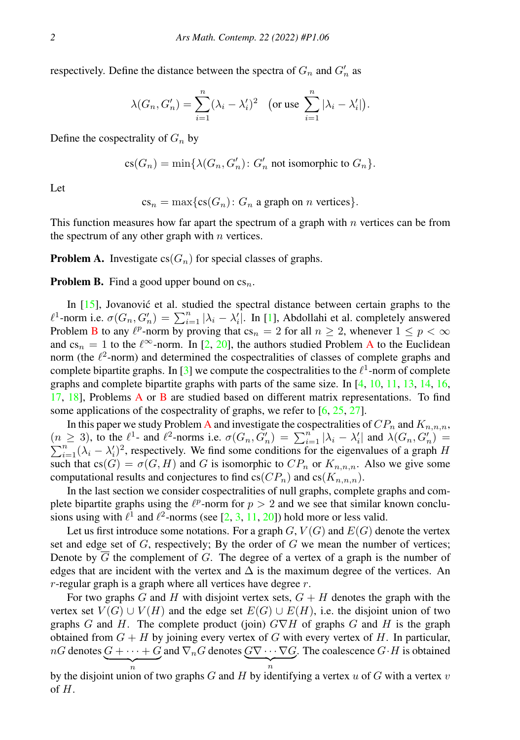respectively. Define the distance between the spectra of  $G_n$  and  $G'_n$  as

$$
\lambda(G_n, G'_n) = \sum_{i=1}^n (\lambda_i - \lambda'_i)^2 \quad \text{(or use } \sum_{i=1}^n |\lambda_i - \lambda'_i|).
$$

Define the cospectrality of  $G_n$  by

 $\text{cs}(G_n) = \min\{\lambda(G_n, G'_n) : G'_n \text{ not isomorphic to } G_n\}.$ 

Let

 $cs_n = \max\{cs(G_n): G_n$  a graph on *n* vertices}.

This function measures how far apart the spectrum of a graph with  $n$  vertices can be from the spectrum of any other graph with  $n$  vertices.

<span id="page-1-1"></span>**Problem A.** Investigate  $cs(G_n)$  for special classes of graphs.

<span id="page-1-0"></span>**Problem B.** Find a good upper bound on  $cs_n$ .

In  $[15]$ , Jovanovic et al. studied the spectral distance between certain graphs to the  $\ell^1$ -norm i.e.  $\sigma(G_n, G'_n) = \sum_{i=1}^n |\lambda_i - \lambda'_i|$ . In [\[1\]](#page-13-1), Abdollahi et al. completely answered Problem [B](#page-1-0) to any  $\ell^p$ -norm by proving that  $cs_n = 2$  for all  $n \geq 2$ , whenever  $1 \leq p < \infty$ and  $cs_n = 1$  to the  $\ell^{\infty}$ -norm. In [\[2,](#page-13-2) [20\]](#page-13-3), the authors studied Problem [A](#page-1-1) to the Euclidean norm (the  $\ell^2$ -norm) and determined the cospectralities of classes of complete graphs and complete bipartite graphs. In [\[3\]](#page-13-4) we compute the cospectralities to the  $\ell^1$ -norm of complete graphs and complete bipartite graphs with parts of the same size. In [\[4,](#page-13-5) [10,](#page-13-6) [11,](#page-13-7) [13,](#page-13-8) [14,](#page-13-9) [16,](#page-13-10) [17,](#page-13-11) [18\]](#page-13-12), Problems [A](#page-1-1) or [B](#page-1-0) are studied based on different matrix representations. To find some applications of the cospectrality of graphs, we refer to  $[6, 25, 27]$  $[6, 25, 27]$  $[6, 25, 27]$  $[6, 25, 27]$  $[6, 25, 27]$ .

In this paper we study Problem [A](#page-1-1) and investigate the cospectralities of  $CP_n$  and  $K_{n,n,n}$ ,  $(n \ge 3)$ , to the  $\ell^1$ - and  $\ell^2$ -norms i.e.  $\sigma(G_n, G'_n) = \sum_{i=1}^{n} |\lambda_i - \lambda'_i|$  and  $\lambda(G_n, G'_n) =$  $\sum_{i=1}^{n} (\lambda_i - \lambda'_i)^2$ , respectively. We find some conditions for the eigenvalues of a graph H such that  $cs(G) = \sigma(G, H)$  and G is isomorphic to  $CP_n$  or  $K_{n,n,n}$ . Also we give some computational results and conjectures to find  $cs(CP_n)$  and  $cs(K_{n,n,n})$ .

In the last section we consider cospectralities of null graphs, complete graphs and complete bipartite graphs using the  $\ell^p$ -norm for  $p > 2$  and we see that similar known conclusions using with  $\ell^1$  and  $\ell^2$ -norms (see [\[2,](#page-13-2) [3,](#page-13-4) [11,](#page-13-7) [20\]](#page-13-3)) hold more or less valid.

Let us first introduce some notations. For a graph  $G, V(G)$  and  $E(G)$  denote the vertex set and edge set of  $G$ , respectively; By the order of  $G$  we mean the number of vertices; Denote by  $\overline{G}$  the complement of G. The degree of a vertex of a graph is the number of edges that are incident with the vertex and  $\Delta$  is the maximum degree of the vertices. An  $r$ -regular graph is a graph where all vertices have degree  $r$ .

For two graphs G and H with disjoint vertex sets,  $G + H$  denotes the graph with the vertex set  $V(G) \cup V(H)$  and the edge set  $E(G) \cup E(H)$ , i.e. the disjoint union of two graphs G and H. The complete product (join)  $G\nabla H$  of graphs G and H is the graph obtained from  $G + H$  by joining every vertex of G with every vertex of H. In particular,  $nG$  denotes  $G + \cdots + G$  and  $\nabla_n G$  denotes  $G \nabla \cdots \nabla G$ . The coalescence  $G \cdot H$  is obtained by the disjoint union of two graphs G and H by identifying a vertex u of G with a vertex v  $\overbrace{n}$ 

of H.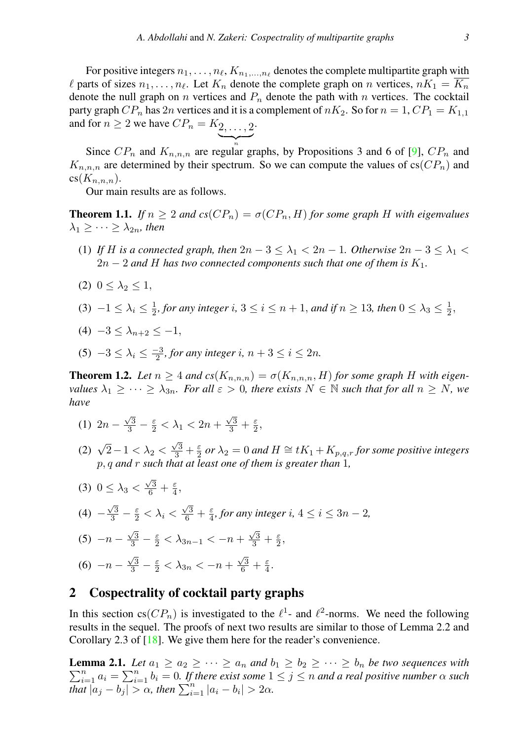For positive integers  $n_1, \ldots, n_\ell, K_{n_1, \ldots, n_\ell}$  denotes the complete multipartite graph w<u>ith</u>  $\ell$  parts of sizes  $n_1, \ldots, n_\ell$ . Let  $K_n$  denote the complete graph on n vertices,  $nK_1 = \overline{K_n}$ denote the null graph on n vertices and  $P_n$  denote the path with n vertices. The cocktail party graph  $CP_n$  has  $2n$  vertices and it is a complement of  $nK_2$ . So for  $n = 1$ ,  $CP_1 = K_{1,1}$ 

and for 
$$
n \ge 2
$$
 we have  $CP_n = K_2, \ldots, 2$ .

Since  $CP_n$  and  $K_{n,n,n}$  are regular graphs, by Propositions 3 and 6 of [\[9\]](#page-13-14),  $CP_n$  and  $K_{n,n,n}$  are determined by their spectrum. So we can compute the values of  $c s(CP_n)$  and  $cs(K_{n,n,n}).$ 

Our main results are as follows.

<span id="page-2-1"></span>**Theorem 1.1.** *If*  $n \geq 2$  *and*  $cs(CP_n) = \sigma(CP_n, H)$  *for some graph H* with eigenvalues  $\lambda_1 \geq \cdots \geq \lambda_{2n}$ , then

- (1) *If* H is a connected graph, then  $2n 3 \leq \lambda_1 < 2n 1$ . Otherwise  $2n 3 \leq \lambda_1 <$  $2n-2$  and H has two connected components such that one of them is  $K_1$ .
- (2)  $0 \leq \lambda_2 \leq 1$ ,
- (3)  $-1 \leq \lambda_i \leq \frac{1}{2}$ , for any integer i,  $3 \leq i \leq n+1$ , and if  $n \geq 13$ , then  $0 \leq \lambda_3 \leq \frac{1}{2}$ ,
- (4)  $-3 < \lambda_{n+2} < -1$ ,
- (5)  $-3 \leq \lambda_i \leq \frac{-3}{2}$ , for any integer i,  $n+3 \leq i \leq 2n$ .

<span id="page-2-2"></span>**Theorem 1.2.** Let  $n \geq 4$  and  $cs(K_{n,n,n}) = \sigma(K_{n,n,n}, H)$  for some graph H with eigen*values*  $\lambda_1 \geq \cdots \geq \lambda_{3n}$ *. For all*  $\varepsilon > 0$ *, there exists*  $N \in \mathbb{N}$  *such that for all*  $n \geq N$ *, we have*

- <span id="page-2-3"></span>(1)  $2n - \frac{\sqrt{3}}{3} - \frac{\varepsilon}{2} < \lambda_1 < 2n + \frac{\sqrt{3}}{3} + \frac{\varepsilon}{2}$ ,
- (2)  $\sqrt{2}-1 < \lambda_2 < \frac{\sqrt{3}}{3} + \frac{\varepsilon}{2}$  or  $\lambda_2 = 0$  and  $H \cong tK_1 + K_{p,q,r}$  for some positive integers p, q *and* r *such that at least one of them is greater than* 1*,*
- <span id="page-2-4"></span>(3)  $0 \leq \lambda_3 < \frac{\sqrt{3}}{6} + \frac{\varepsilon}{4}$ , (4)  $-\frac{\sqrt{3}}{3} - \frac{\varepsilon}{2} < \lambda_i < \frac{\sqrt{3}}{6} + \frac{\varepsilon}{4}$ , for any integer i, 4 ≤ i ≤ 3n − 2, (5)  $-n - \frac{\sqrt{3}}{3} - \frac{\varepsilon}{2} < \lambda_{3n-1} < -n + \frac{\sqrt{3}}{3} + \frac{\varepsilon}{2}$ (6)  $-n - \frac{\sqrt{3}}{3} - \frac{\varepsilon}{2} < \lambda_{3n} < -n + \frac{\sqrt{3}}{6} + \frac{\varepsilon}{4}$ .

## <span id="page-2-5"></span>2 Cospectrality of cocktail party graphs

In this section  $cs(CP_n)$  is investigated to the  $\ell^1$ - and  $\ell^2$ -norms. We need the following results in the sequel. The proofs of next two results are similar to those of Lemma 2.2 and Corollary 2.3 of [\[18\]](#page-13-12). We give them here for the reader's convenience.

<span id="page-2-0"></span>**Lemma 2.1.** Let  $a_1 \ge a_2 \ge \cdots \ge a_n$  and  $b_1 \ge b_2 \ge \cdots \ge b_n$  be two sequences with  $\sum_{i=1}^{n} a_i = \sum_{i=1}^{n} b_i = 0$ . If there exist some  $1 \leq j \leq n$  and a real positive number  $\alpha$  such  $\lim_{i \to 1} \frac{1}{|a_j - b_j|} > \alpha$ , then  $\sum_{i=1}^n |a_i - b_i| > 2\alpha$ .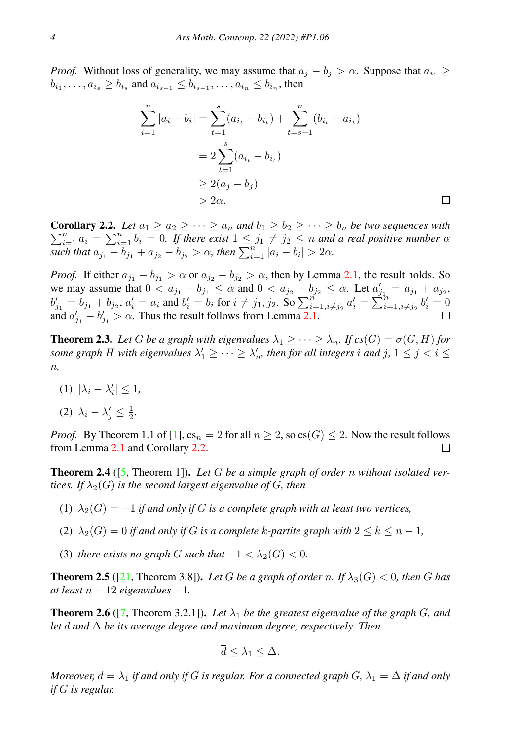*Proof.* Without loss of generality, we may assume that  $a_j - b_j > \alpha$ . Suppose that  $a_{i_1} \geq$  $b_{i_1}, \ldots, a_{i_s} \ge b_{i_s}$  and  $a_{i_{s+1}} \le b_{i_{s+1}}, \ldots, a_{i_n} \le b_{i_n}$ , then

$$
\sum_{i=1}^{n} |a_i - b_i| = \sum_{t=1}^{s} (a_{i_t} - b_{i_t}) + \sum_{t=s+1}^{n} (b_{i_t} - a_{i_t})
$$
  
=  $2 \sum_{t=1}^{s} (a_{i_t} - b_{i_t})$   
 $\ge 2(a_j - b_j)$   
>  $2\alpha$ .

 $\Box$ 

<span id="page-3-0"></span>**Corollary 2.2.** Let  $a_1 \ge a_2 \ge \cdots \ge a_n$  and  $b_1 \ge b_2 \ge \cdots \ge b_n$  be two sequences with  $\sum_{i=1}^{n} a_i = \sum_{i=1}^{n} b_i = 0$ . If there exist  $1 \leq j_1 \neq j_2 \leq n$  and a real positive number  $\alpha$  $\sum_{i=1}^{n} |a_i - b_i| > 2\alpha$ , then  $\sum_{i=1}^{n} |a_i - b_i| > 2\alpha$ .

*Proof.* If either  $a_{j_1} - b_{j_1} > \alpha$  or  $a_{j_2} - b_{j_2} > \alpha$ , then by Lemma [2.1,](#page-2-0) the result holds. So we may assume that  $0 < a_{j_1} - b_{j_1} \le \alpha$  and  $0 < a_{j_2} - b_{j_2} \le \alpha$ . Let  $a'_{j_1} = a_{j_1} + a_{j_2}$ ,  $b'_{j1} = b_{j1} + b_{j2}, a'_i = a_i$  and  $b'_i = b_i$  for  $i \neq j_1, j_2$ . So  $\sum_{i=1, i \neq j_2}^{n} a'_i = \sum_{i=1, i \neq j_2}^{n} b'_i = 0$ and  $a'_{j_1} - b'_{j_1} > \alpha$ . Thus the result follows from Lemma [2.1.](#page-2-0)

<span id="page-3-1"></span>**Theorem 2.3.** Let G be a graph with eigenvalues  $\lambda_1 \geq \cdots \geq \lambda_n$ . If  $cs(G) = \sigma(G, H)$  for some graph H with eigenvalues  $\lambda'_1 \geq \cdots \geq \lambda'_n$ , then for all integers i and j,  $1 \leq j < i \leq n$ n*,*

- (1)  $|\lambda_i \lambda'_i| \leq 1$ ,
- (2)  $\lambda_i \lambda'_j \leq \frac{1}{2}$ .

*Proof.* By Theorem 1.1 of [\[1\]](#page-13-1),  $cs_n = 2$  for all  $n \ge 2$ , so  $cs(G) \le 2$ . Now the result follows from Lemma [2.1](#page-2-0) and Corollary [2.2.](#page-3-0) □

<span id="page-3-2"></span>Theorem 2.4 ([\[5,](#page-13-15) Theorem 1]). *Let* G *be a simple graph of order* n *without isolated vertices. If*  $\lambda_2(G)$  *is the second largest eigenvalue of G, then* 

- (1)  $\lambda_2(G) = -1$  *if and only if* G *is a complete graph with at least two vertices,*
- (2)  $\lambda_2(G) = 0$  *if and only if* G *is a complete k-partite graph with*  $2 \leq k \leq n-1$ ,
- (3) *there exists no graph* G *such that*  $-1 < \lambda_2(G) < 0$ *.*

<span id="page-3-3"></span>**Theorem 2.5** ([\[21,](#page-14-3) Theorem 3.8]). Let G be a graph of order n. If  $\lambda_3(G) < 0$ , then G has *at least* n − 12 *eigenvalues* −1*.*

<span id="page-3-4"></span>**Theorem 2.6** ([\[7,](#page-13-16) Theorem 3.2.1]). Let  $\lambda_1$  be the greatest eigenvalue of the graph G, and *let* d *and* ∆ *be its average degree and maximum degree, respectively. Then*

$$
\overline{d} \leq \lambda_1 \leq \Delta.
$$

*Moreover,*  $\overline{d} = \lambda_1$  *if and only if* G *is regular. For a connected graph* G,  $\lambda_1 = \Delta$  *if and only if* G *is regular.*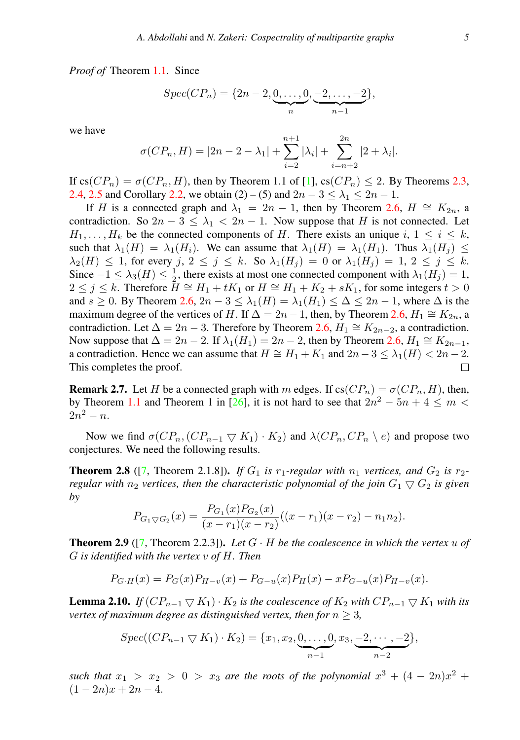*Proof of* Theorem [1.1](#page-2-1)*.* Since

$$
Spec(CP_n) = \{2n-2, \underbrace{0, \dots, 0}_{n}, \underbrace{-2, \dots, -2}_{n-1}\},
$$

we have

$$
\sigma(CP_n, H) = |2n - 2 - \lambda_1| + \sum_{i=2}^{n+1} |\lambda_i| + \sum_{i=n+2}^{2n} |2 + \lambda_i|.
$$

If  $cs(CP_n) = \sigma(CP_n, H)$ , then by Theorem 1.1 of [\[1\]](#page-13-1),  $cs(CP_n) \le 2$ . By Theorems [2.3,](#page-3-1) [2.4,](#page-3-2) [2.5](#page-3-3) and Corollary [2.2,](#page-3-0) we obtain (2) – (5) and  $2n - 3 \le \lambda_1 \le 2n - 1$ .

If H is a connected graph and  $\lambda_1 = 2n - 1$ , then by Theorem [2.6,](#page-3-4)  $H \cong K_{2n}$ , a contradiction. So  $2n-3 \leq \lambda_1 < 2n-1$ . Now suppose that H is not connected. Let  $H_1, \ldots, H_k$  be the connected components of H. There exists an unique i,  $1 \leq i \leq k$ , such that  $\lambda_1(H) = \lambda_1(H_i)$ . We can assume that  $\lambda_1(H) = \lambda_1(H_1)$ . Thus  $\lambda_1(H_i) \le$  $\lambda_2(H) \leq 1$ , for every  $j, 2 \leq j \leq k$ . So  $\lambda_1(H_j) = 0$  or  $\lambda_1(H_j) = 1, 2 \leq j \leq k$ . Since  $-1 \leq \lambda_3(H) \leq \frac{1}{2}$ , there exists at most one connected component with  $\lambda_1(H_j) = 1$ ,  $2 \le j \le k$ . Therefore  $H \cong H_1 + tK_1$  or  $H \cong H_1 + K_2 + sK_1$ , for some integers  $t > 0$ and  $s \geq 0$ . By Theorem [2.6,](#page-3-4)  $2n-3 \leq \lambda_1(H) = \lambda_1(H_1) \leq \Delta \leq 2n-1$ , where  $\Delta$  is the maximum degree of the vertices of H. If  $\Delta = 2n - 1$ , then, by Theorem [2.6,](#page-3-4)  $H_1 \cong K_{2n}$ , a contradiction. Let  $\Delta = 2n - 3$ . Therefore by Theorem [2.6,](#page-3-4)  $H_1 \cong K_{2n-2}$ , a contradiction. Now suppose that  $\Delta = 2n - 2$ . If  $\lambda_1(H_1) = 2n - 2$ , then by Theorem [2.6,](#page-3-4)  $H_1 \cong K_{2n-1}$ , a contradiction. Hence we can assume that  $H \cong H_1 + K_1$  and  $2n - 3 \leq \lambda_1(H) < 2n - 2$ . This completes the proof. П

**Remark 2.7.** Let H be a connected graph with m edges. If  $cs(CP_n) = \sigma(CP_n, H)$ , then, by Theorem [1.1](#page-2-1) and Theorem 1 in [\[26\]](#page-14-4), it is not hard to see that  $2n^2 - 5n + 4 \le m <$  $2n^2 - n$ .

Now we find  $\sigma(CP_n,(CP_{n-1} \nabla K_1) \cdot K_2)$  and  $\lambda(CP_n,CP_n \nabla e)$  and propose two conjectures. We need the following results.

<span id="page-4-0"></span>**Theorem 2.8** ([\[7,](#page-13-16) Theorem 2.1.8]). *If*  $G_1$  *is*  $r_1$ *-regular with*  $n_1$  *vertices, and*  $G_2$  *is*  $r_2$ *regular with*  $n_2$  *vertices, then the characteristic polynomial of the join*  $G_1 \nabla G_2$  *is given by*

$$
P_{G_1 \nabla G_2}(x) = \frac{P_{G_1}(x)P_{G_2}(x)}{(x - r_1)(x - r_2)}((x - r_1)(x - r_2) - n_1 n_2).
$$

<span id="page-4-1"></span>**Theorem 2.9** ( $[7,$  Theorem 2.2.3]). Let  $G \cdot H$  be the coalescence in which the vertex u of G *is identified with the vertex* v *of* H*. Then*

$$
P_{G\cdot H}(x) = P_G(x)P_{H-v}(x) + P_{G-u}(x)P_H(x) - xP_{G-u}(x)P_{H-v}(x).
$$

<span id="page-4-2"></span>**Lemma 2.10.** *If*  $(CP_{n-1} \nabla K_1) \cdot K_2$  *is the coalescence of*  $K_2$  *with*  $CP_{n-1} \nabla K_1$  *with its vertex of maximum degree as distinguished vertex, then for*  $n \geq 3$ ,

$$
Spec((CP_{n-1} \bigtriangledown K_1) \cdot K_2) = \{x_1, x_2, \underbrace{0, \ldots, 0}_{n-1}, x_3, \underbrace{-2, \cdots, -2}_{n-2}\},
$$

such that  $x_1 > x_2 > 0 > x_3$  are the roots of the polynomial  $x^3 + (4 - 2n)x^2 +$  $(1 - 2n)x + 2n - 4.$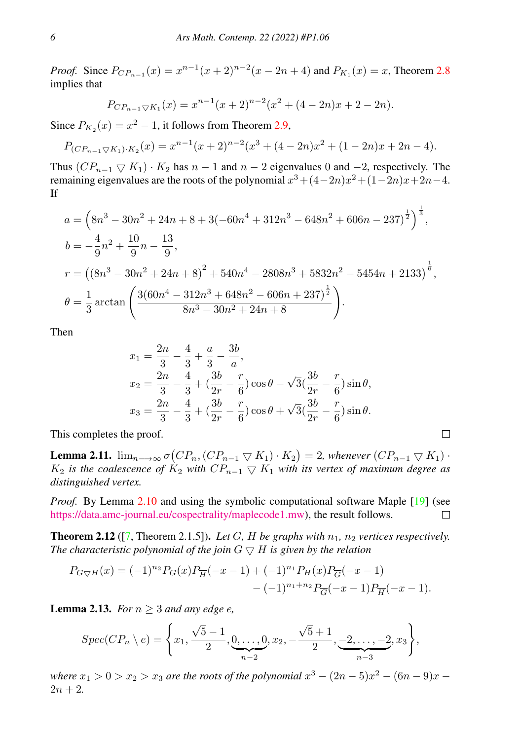*Proof.* Since  $P_{CP_{n-1}}(x) = x^{n-1}(x+2)^{n-2}(x-2n+4)$  and  $P_{K_1}(x) = x$ , Theorem [2.8](#page-4-0) implies that

$$
P_{CP_{n-1}\bigtriangledown K_1}(x) = x^{n-1}(x+2)^{n-2}(x^2 + (4-2n)x + 2 - 2n).
$$

Since  $P_{K_2}(x) = x^2 - 1$ , it follows from Theorem [2.9,](#page-4-1)

$$
P_{(CP_{n-1}\bigtriangledown K_1)\cdot K_2}(x) = x^{n-1}(x+2)^{n-2}(x^3+(4-2n)x^2+(1-2n)x+2n-4).
$$

Thus  $(CP_{n-1} \nabla K_1) \cdot K_2$  has  $n-1$  and  $n-2$  eigenvalues 0 and  $-2$ , respectively. The remaining eigenvalues are the roots of the polynomial  $x^3 + (4-2n)x^2 + (1-2n)x + 2n-4$ . If

$$
a = \left(8n^3 - 30n^2 + 24n + 8 + 3(-60n^4 + 312n^3 - 648n^2 + 606n - 237)^{\frac{1}{2}}\right)^{\frac{1}{3}},
$$
  
\n
$$
b = -\frac{4}{9}n^2 + \frac{10}{9}n - \frac{13}{9},
$$
  
\n
$$
r = \left(\left(8n^3 - 30n^2 + 24n + 8\right)^2 + 540n^4 - 2808n^3 + 5832n^2 - 5454n + 2133\right)^{\frac{1}{6}},
$$
  
\n
$$
\theta = \frac{1}{3}\arctan\left(\frac{3(60n^4 - 312n^3 + 648n^2 - 606n + 237)^{\frac{1}{2}}}{8n^3 - 30n^2 + 24n + 8}\right).
$$

Then

$$
x_1 = \frac{2n}{3} - \frac{4}{3} + \frac{a}{3} - \frac{3b}{a},
$$
  
\n
$$
x_2 = \frac{2n}{3} - \frac{4}{3} + (\frac{3b}{2r} - \frac{r}{6})\cos\theta - \sqrt{3}(\frac{3b}{2r} - \frac{r}{6})\sin\theta,
$$
  
\n
$$
x_3 = \frac{2n}{3} - \frac{4}{3} + (\frac{3b}{2r} - \frac{r}{6})\cos\theta + \sqrt{3}(\frac{3b}{2r} - \frac{r}{6})\sin\theta.
$$

 $\Box$ 

This completes the proof.

**Lemma 2.11.**  $\lim_{n\longrightarrow\infty} \sigma(CP_n, (CP_{n-1} \nabla K_1) \cdot K_2) = 2$ , whenever  $(CP_{n-1} \nabla K_1) \cdot K_2$  $K_2$  *is the coalescence of*  $K_2$  *with*  $CP_{n-1} \nabla K_1$  *with its vertex of maximum degree as distinguished vertex.*

*Proof.* By Lemma [2.10](#page-4-2) and using the symbolic computational software Maple [\[19\]](#page-13-17) (see [https://data.amc-journal.eu/cospectrality/maplecode1.mw\)](https://data.amc-journal.eu/cospectrality/maplecode1.mw), the result follows.  $\Box$ 

**Theorem 2.12** ([\[7,](#page-13-16) Theorem 2.1.5]). Let G, H be graphs with  $n_1$ ,  $n_2$  vertices respectively. *The characteristic polynomial of the join*  $G \nabla H$  *is given by the relation* 

$$
P_{G\bigtriangledown H}(x) = (-1)^{n_2} P_G(x) P_{\overline{H}}(-x-1) + (-1)^{n_1} P_H(x) P_{\overline{G}}(-x-1)
$$
  
- (-1)^{n\_1+n\_2} P\_{\overline{G}}(-x-1) P\_{\overline{H}}(-x-1).

<span id="page-5-0"></span>**Lemma 2.13.** *For*  $n \geq 3$  *and any edge e,* 

$$
Spec(CP_n \setminus e) = \left\{ x_1, \frac{\sqrt{5}-1}{2}, \underbrace{0, \dots, 0}_{n-2}, x_2, -\frac{\sqrt{5}+1}{2}, \underbrace{-2, \dots, -2}_{n-3}, x_3 \right\},
$$

*where*  $x_1 > 0 > x_2 > x_3$  *are the roots of the polynomial*  $x^3 - (2n - 5)x^2 - (6n - 9)x$  –  $2n + 2$ .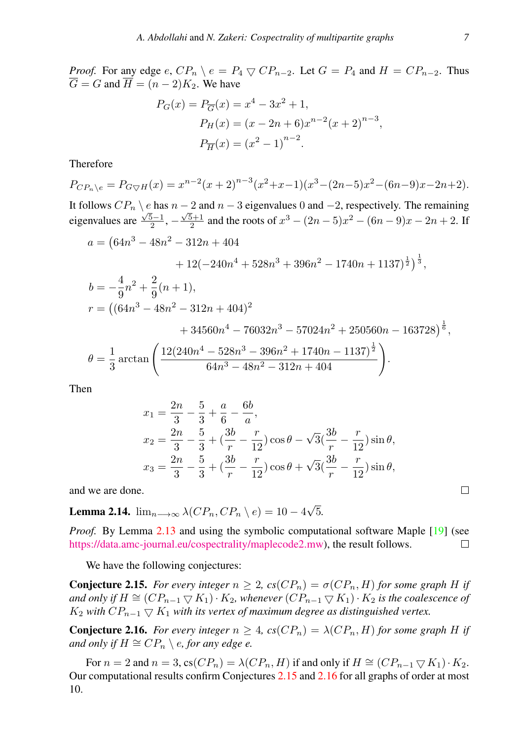*Proof.* For any edge e,  $CP_n \setminus e = P_4 \bigtriangledown CP_{n-2}$ . Let  $G = P_4$  and  $H = CP_{n-2}$ . Thus  $\overline{G} = G$  and  $\overline{H} = (n-2)K_2$ . We have

$$
P_G(x) = P_{\overline{G}}(x) = x^4 - 3x^2 + 1,
$$
  
\n
$$
P_H(x) = (x - 2n + 6)x^{n-2}(x + 2)^{n-3},
$$
  
\n
$$
P_{\overline{H}}(x) = (x^2 - 1)^{n-2}.
$$

Therefore

$$
P_{CP_n \backslash e} = P_{G \nabla H}(x) = x^{n-2}(x+2)^{n-3}(x^2+x-1)(x^3-(2n-5)x^2-(6n-9)x-2n+2).
$$
  
It follows  $CP_n \backslash e$  has  $n-2$  and  $n-3$  eigenvalues 0 and -2, respectively. The remaining eigenvalues are  $\frac{\sqrt{5}-1}{2}$ ,  $-\frac{\sqrt{5}+1}{2}$  and the roots of  $x^3 - (2n-5)x^2 - (6n-9)x - 2n + 2$ . If  $a = (64n^3 - 48n^2 - 312n + 404 + 12(-240n^4 + 528n^3 + 396n^2 - 1740n + 1137)^{\frac{1}{2}})^{\frac{1}{3}},$   
 $b = -\frac{4}{9}n^2 + \frac{2}{9}(n+1),$   
 $r = ((64n^3 - 48n^2 - 312n + 404)^2 + 34560n^4 - 76032n^3 - 57024n^2 + 250560n - 163728)^{\frac{1}{6}},$   
 $\theta = \frac{1}{3}\arctan\left(\frac{12(240n^4 - 528n^3 - 396n^2 + 1740n - 1137)^{\frac{1}{2}}}{64n^3 - 48n^2 - 312n + 404}\right).$ 

Then

$$
x_1 = \frac{2n}{3} - \frac{5}{3} + \frac{a}{6} - \frac{6b}{a},
$$
  
\n
$$
x_2 = \frac{2n}{3} - \frac{5}{3} + (\frac{3b}{r} - \frac{r}{12})\cos\theta - \sqrt{3}(\frac{3b}{r} - \frac{r}{12})\sin\theta,
$$
  
\n
$$
x_3 = \frac{2n}{3} - \frac{5}{3} + (\frac{3b}{r} - \frac{r}{12})\cos\theta + \sqrt{3}(\frac{3b}{r} - \frac{r}{12})\sin\theta,
$$

and we are done.

**Lemma 2.14.**  $\lim_{n\longrightarrow\infty}\lambda(CP_n, CP_n\setminus e)=10-4$ √ 5*.*

*Proof.* By Lemma [2.13](#page-5-0) and using the symbolic computational software Maple [\[19\]](#page-13-17) (see [https://data.amc-journal.eu/cospectrality/maplecode2.mw\)](https://data.amc-journal.eu/cospectrality/maplecode2.mw), the result follows.  $\Box$ 

We have the following conjectures:

<span id="page-6-0"></span>**Conjecture 2.15.** *For every integer*  $n \geq 2$ ,  $cs(CP_n) = \sigma(CP_n, H)$  *for some graph* H *if and only if*  $H \cong (CP_{n-1} \nabla K_1) \cdot K_2$ , whenever  $(CP_{n-1} \nabla K_1) \cdot K_2$  *is the coalescence of*  $K_2$  *with*  $CP_{n-1} \nabla K_1$  *with its vertex of maximum degree as distinguished vertex.* 

<span id="page-6-1"></span>**Conjecture 2.16.** *For every integer*  $n \geq 4$ ,  $cs(CP_n) = \lambda(CP_n, H)$  *for some graph* H *if and only if*  $H \cong CP_n \setminus e$ , for any edge e.

For  $n = 2$  and  $n = 3$ , cs $(CP_n) = \lambda(CP_n, H)$  if and only if  $H \cong (CP_{n-1} \nabla K_1) \cdot K_2$ . Our computational results confirm Conjectures [2.15](#page-6-0) and [2.16](#page-6-1) for all graphs of order at most 10.

 $\Box$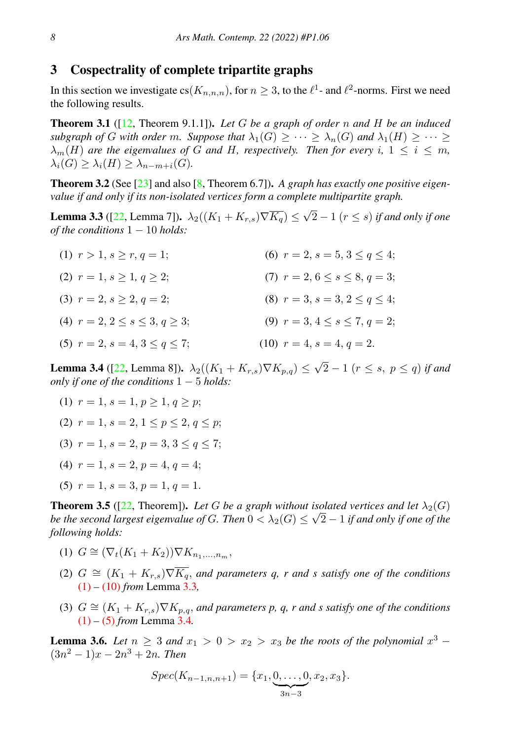### 3 Cospectrality of complete tripartite graphs

In this section we investigate  $cs(K_{n,n,n})$ , for  $n \geq 3$ , to the  $\ell^1$ - and  $\ell^2$ -norms. First we need the following results.

<span id="page-7-8"></span>Theorem 3.1 ([\[12,](#page-13-18) Theorem 9.1.1]). *Let* G *be a graph of order* n *and* H *be an induced subgraph of G with order* m. Suppose that  $\lambda_1(G) \geq \cdots \geq \lambda_n(G)$  and  $\lambda_1(H) \geq \cdots \geq$  $\lambda_m(H)$  *are the eigenvalues of* G *and* H, respectively. Then for every i,  $1 \leq i \leq m$ ,  $\lambda_i(G) > \lambda_i(H) > \lambda_{n-m+i}(G)$ .

<span id="page-7-9"></span>Theorem 3.2 (See [\[23\]](#page-14-5) and also [\[8,](#page-13-19) Theorem 6.7]). *A graph has exactly one positive eigenvalue if and only if its non-isolated vertices form a complete multipartite graph.*

<span id="page-7-2"></span>**Lemma 3.3** ([\[22,](#page-14-6) Lemma 7]).  $\lambda_2((K_1 + K_{r,s})\nabla K_q) \leq$ √ 2 − 1 (r ≤ s) *if and only if one of the conditions* 1 − 10 *holds:*

<span id="page-7-0"></span>(1)  $r > 1$ ,  $s > r$ ,  $q = 1$ ; (2)  $r = 1, s > 1, q > 2$ ; (3)  $r = 2, s > 2, q = 2;$ (4)  $r = 2, 2 \leq s \leq 3, q > 3;$ (5)  $r = 2$ ,  $s = 4$ ,  $3 \leq q \leq 7$ ; (6)  $r = 2$ ,  $s = 5$ ,  $3 \leq q \leq 4$ ; (7)  $r = 2, 6 \leq s \leq 8, q = 3;$ (8)  $r = 3$ ,  $s = 3$ ,  $2 \leq q \leq 4$ ; (9)  $r = 3, 4 \leq s \leq 7, q = 2;$ (10)  $r = 4$ ,  $s = 4$ ,  $q = 2$ .

<span id="page-7-5"></span>**Lemma 3.4** ([\[22,](#page-14-6) Lemma 8]).  $\lambda_2((K_1 + K_{r,s})\nabla K_{p,q}) \le$ √  $2-1$   $(r \leq s, p \leq q)$  *if and only if one of the conditions* 1 − 5 *holds:*

- <span id="page-7-3"></span><span id="page-7-1"></span>(1)  $r = 1, s = 1, p > 1, q > p$ ;
- (2)  $r = 1, s = 2, 1 \leq p \leq 2, q \leq p$ ;
- (3)  $r = 1, s = 2, p = 3, 3 \leq q \leq 7$ :
- (4)  $r = 1$ ,  $s = 2$ ,  $p = 4$ ,  $q = 4$ ;
- <span id="page-7-4"></span>(5)  $r = 1, s = 3, p = 1, q = 1$ .

<span id="page-7-7"></span>**Theorem 3.5** ([\[22,](#page-14-6) Theorem]). *Let* G *be a graph without isolated vertices and let*  $\lambda_2(G)$ *be the second largest eigenvalue of*  $G$ *. Then*  $0 < \lambda_2(G) \leq \sqrt{2}-1$  *if and only if one of the following holds:*

- (1)  $G \cong (\nabla_t (K_1 + K_2)) \nabla K_{n_1, \ldots, n_m}$
- (2)  $G \cong (K_1 + K_{r,s})\nabla \overline{K_q}$ , and parameters q, r and s satisfy one of the conditions [\(1\)](#page-7-0) *–* [\(10\)](#page-7-1) *from* Lemma [3.3](#page-7-2)*,*
- (3)  $G \cong (K_1 + K_{r,s}) \nabla K_{p,q}$ , and parameters p, q, r and s satisfy one of the conditions [\(1\)](#page-7-3) *–* [\(5\)](#page-7-4) *from* Lemma [3.4](#page-7-5)*.*

<span id="page-7-6"></span>**Lemma 3.6.** Let  $n \geq 3$  and  $x_1 > 0 > x_2 > x_3$  be the roots of the polynomial  $x^3$  –  $(3n^2 - 1)x - 2n^3 + 2n$ . Then

$$
Spec(K_{n-1,n,n+1}) = \{x_1, \underbrace{0, \ldots, 0}_{3n-3}, x_2, x_3\}.
$$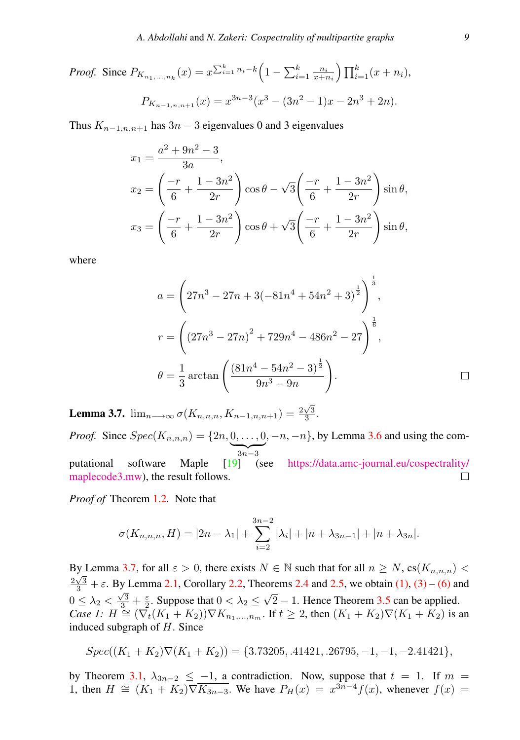*Proof.* Since 
$$
P_{K_{n_1,...,n_k}}(x) = x^{\sum_{i=1}^k n_i - k} \left(1 - \sum_{i=1}^k \frac{n_i}{x + n_i}\right) \prod_{i=1}^k (x + n_i),
$$
  

$$
P_{K_{n-1,n,n+1}}(x) = x^{3n-3} (x^3 - (3n^2 - 1)x - 2n^3 + 2n).
$$

Thus  $K_{n-1,n,n+1}$  has  $3n-3$  eigenvalues 0 and 3 eigenvalues

$$
x_1 = \frac{a^2 + 9n^2 - 3}{3a},
$$
  
\n
$$
x_2 = \left(\frac{-r}{6} + \frac{1 - 3n^2}{2r}\right) \cos \theta - \sqrt{3} \left(\frac{-r}{6} + \frac{1 - 3n^2}{2r}\right) \sin \theta,
$$
  
\n
$$
x_3 = \left(\frac{-r}{6} + \frac{1 - 3n^2}{2r}\right) \cos \theta + \sqrt{3} \left(\frac{-r}{6} + \frac{1 - 3n^2}{2r}\right) \sin \theta,
$$

where

$$
a = \left(27n^3 - 27n + 3(-81n^4 + 54n^2 + 3)^{\frac{1}{2}}\right)^{\frac{1}{3}},
$$
  

$$
r = \left((27n^3 - 27n)^2 + 729n^4 - 486n^2 - 27\right)^{\frac{1}{6}},
$$
  

$$
\theta = \frac{1}{3}\arctan\left(\frac{(81n^4 - 54n^2 - 3)^{\frac{1}{2}}}{9n^3 - 9n}\right).
$$

<span id="page-8-0"></span>**Lemma 3.7.**  $\lim_{n \to \infty} \sigma(K_{n,n,n}, K_{n-1,n,n+1}) = \frac{2\sqrt{3}}{3}$ .

*Proof.* Since  $Spec(K_{n,n,n}) = \{2n, 0, ..., 0\}$  $, -n, -n$ , by Lemma [3.6](#page-7-6) and using the com- $\overline{3n-3}$ putational software Maple [\[19\]](#page-13-17) (see [https://data.amc-journal.eu/cospectrality/](https://data.amc-journal.eu/cospectrality/maplecode3.mw) [maplecode3.mw\)](https://data.amc-journal.eu/cospectrality/maplecode3.mw), the result follows.  $\Box$ 

*Proof of* Theorem [1.2](#page-2-2)*.* Note that

$$
\sigma(K_{n,n,n}, H) = |2n - \lambda_1| + \sum_{i=2}^{3n-2} |\lambda_i| + |n + \lambda_{3n-1}| + |n + \lambda_{3n}|.
$$

By Lemma [3.7,](#page-8-0) for all  $\varepsilon > 0$ , there exists  $N \in \mathbb{N}$  such that for all  $n \ge N$ ,  $cs(K_{n,n,n}) < \sqrt{n}$  $\frac{2\sqrt{3}}{3} + \varepsilon$ . By Lemma [2.1,](#page-2-0) Corollary [2.2,](#page-3-0) Theorems [2.4](#page-3-2) and [2.5,](#page-3-3) we obtain [\(1\),](#page-2-3) [\(3\)](#page-2-4) – [\(6\)](#page-2-5) and  $0 \leq \lambda_2 < \frac{\sqrt{3}}{3} + \frac{\varepsilon}{2}$ . Suppose that  $0 < \lambda_2 \leq$ *Case 1:*  $H \cong (\nabla_t (K_1 + K_2)) \nabla K_{n_1,...,n_m}$ . If  $t \geq 2$ , then  $(K_1 + K_2) \nabla (K_1 + K_2)$  is an √  $2 - 1$ . Hence Theorem [3.5](#page-7-7) can be applied. induced subgraph of  $H$ . Since

$$
Spec((K_1 + K_2)\nabla(K_1 + K_2)) = \{3.73205, .41421, .26795, -1, -1, -2.41421\},
$$

by Theorem [3.1,](#page-7-8)  $\lambda_{3n-2} \leq -1$ , a contradiction. Now, suppose that  $t = 1$ . If  $m =$ 1, then  $H \cong (K_1 + K_2) \nabla \overline{K_{3n-3}}$ . We have  $P_H(x) = x^{3n-4} f(x)$ , whenever  $f(x) =$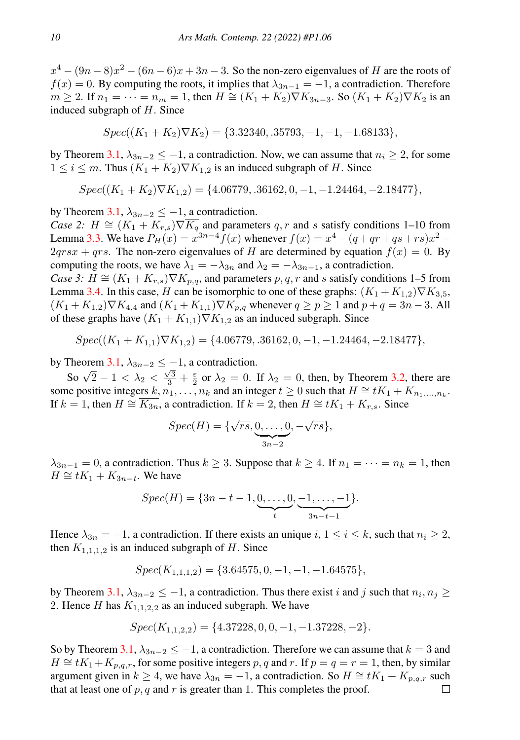$x^4 - (9n - 8)x^2 - (6n - 6)x + 3n - 3$ . So the non-zero eigenvalues of H are the roots of  $f(x) = 0$ . By computing the roots, it implies that  $\lambda_{3n-1} = -1$ , a contradiction. Therefore  $m \ge 2$ . If  $n_1 = \cdots = n_m = 1$ , then  $H \cong (K_1 + K_2) \nabla K_{3n-3}$ . So  $(K_1 + K_2) \nabla K_2$  is an induced subgraph of  $H$ . Since

$$
Spec((K_1 + K_2)\nabla K_2) = \{3.32340, .35793, -1, -1, -1.68133\},\
$$

by Theorem [3.1,](#page-7-8)  $\lambda_{3n-2} \leq -1$ , a contradiction. Now, we can assume that  $n_i \geq 2$ , for some  $1 \leq i \leq m$ . Thus  $(K_1 + K_2) \nabla K_{1,2}$  is an induced subgraph of H. Since

$$
Spec((K_1 + K_2)\nabla K_{1,2}) = \{4.06779, .36162, 0, -1, -1.24464, -2.18477\},
$$

by Theorem [3.1,](#page-7-8)  $\lambda_{3n-2} \leq -1$ , a contradiction.

*Case 2:*  $H \cong (K_1 + K_{r,s})\nabla \overline{K_q}$  and parameters q, r and s satisfy conditions 1–10 from Lemma [3.3.](#page-7-2) We have  $P_H(x) = x^{3n-4} f(x)$  whenever  $f(x) = x^4 - (q + qr + qs + rs)x^2$  –  $2qrsx + qrs$ . The non-zero eigenvalues of H are determined by equation  $f(x) = 0$ . By computing the roots, we have  $\lambda_1 = -\lambda_{3n}$  and  $\lambda_2 = -\lambda_{3n-1}$ , a contradiction.

*Case 3:*  $H \cong (K_1 + K_{r,s}) \nabla K_{p,q}$ , and parameters p, q, r and s satisfy conditions 1–5 from Lemma [3.4.](#page-7-5) In this case, H can be isomorphic to one of these graphs:  $(K_1 + K_{1,2})\nabla K_{3,5}$ ,  $(K_1 + K_{1,2})\nabla K_{4,4}$  and  $(K_1 + K_{1,1})\nabla K_{p,q}$  whenever  $q \ge p \ge 1$  and  $p + q = 3n - 3$ . All of these graphs have  $(K_1 + K_{1,1})\nabla K_{1,2}$  as an induced subgraph. Since

$$
Spec((K_1 + K_{1,1})\nabla K_{1,2}) = \{4.06779, .36162, 0, -1, -1.24464, -2.18477\},
$$

by Theorem [3.1,](#page-7-8)  $\lambda_{3n-2} \leq -1$ , a contradiction.

So  $\sqrt{2} - 1 < \lambda_2 < \frac{\sqrt{3}}{3} + \frac{\epsilon}{2}$  or  $\lambda_2 = 0$ . If  $\lambda_2 = 0$ , then, by Theorem [3.2,](#page-7-9) there are some positive integers  $k, n_1, \ldots, n_k$  and an integer  $t \geq 0$  such that  $H \cong tK_1 + K_{n_1,\ldots,n_k}$ . If  $k = 1$ , then  $H \cong \overline{K_{3n}}$ , a contradiction. If  $k = 2$ , then  $H \cong tK_1 + K_{r,s}$ . Since

$$
Spec(H) = \{\sqrt{rs}, \underbrace{0, \ldots, 0}_{3n-2}, -\sqrt{rs}\},
$$

 $\lambda_{3n-1} = 0$ , a contradiction. Thus  $k \geq 3$ . Suppose that  $k \geq 4$ . If  $n_1 = \cdots = n_k = 1$ , then  $H \cong tK_1 + K_{3n-t}$ . We have

$$
Spec(H) = \{3n - t - 1, \underbrace{0, \dots, 0}_{t}, \underbrace{-1, \dots, -1}_{3n - t - 1}\}.
$$

Hence  $\lambda_{3n} = -1$ , a contradiction. If there exists an unique i,  $1 \le i \le k$ , such that  $n_i \ge 2$ , then  $K_{1,1,1,2}$  is an induced subgraph of H. Since

$$
Spec(K_{1,1,1,2}) = \{3.64575, 0, -1, -1, -1.64575\},\
$$

by Theorem [3.1,](#page-7-8)  $\lambda_{3n-2} \leq -1$ , a contradiction. Thus there exist i and j such that  $n_i, n_j \geq 1$ 2. Hence H has  $K_{1,1,2,2}$  as an induced subgraph. We have

$$
Spec(K_{1,1,2,2}) = \{4.37228, 0, 0, -1, -1.37228, -2\}.
$$

So by Theorem [3.1,](#page-7-8)  $\lambda_{3n-2} \leq -1$ , a contradiction. Therefore we can assume that  $k = 3$  and  $H \cong tK_1+K_{p,q,r}$ , for some positive integers p, q and r. If  $p = q = r = 1$ , then, by similar argument given in  $k \ge 4$ , we have  $\lambda_{3n} = -1$ , a contradiction. So  $H \cong tK_1 + K_{p,q,r}$  such that at least one of  $p, q$  and  $r$  is greater than 1. This completes the proof. □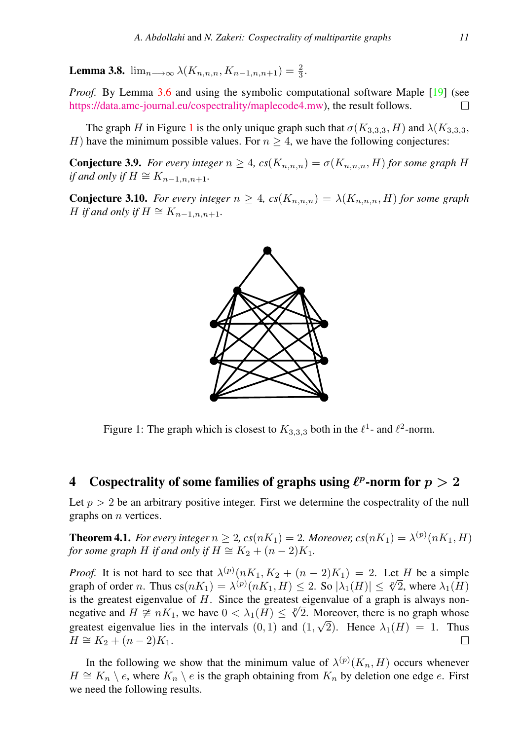**Lemma 3.8.**  $\lim_{n \to \infty} \lambda(K_{n,n,n}, K_{n-1,n,n+1}) = \frac{2}{3}$ .

*Proof.* By Lemma [3.6](#page-7-6) and using the symbolic computational software Maple [\[19\]](#page-13-17) (see [https://data.amc-journal.eu/cospectrality/maplecode4.mw\)](https://data.amc-journal.eu/cospectrality/maplecode4.mw), the result follows.  $\Box$ 

The graph H in Figure [1](#page-10-0) is the only unique graph such that  $\sigma(K_{3,3,3}, H)$  and  $\lambda(K_{3,3,3}, H)$ H) have the minimum possible values. For  $n \geq 4$ , we have the following conjectures:

**Conjecture 3.9.** *For every integer*  $n \geq 4$ ,  $cs(K_{n,n,n}) = \sigma(K_{n,n,n}, H)$  *for some graph* H *if and only if*  $H \cong K_{n-1,n,n+1}$ .

**Conjecture 3.10.** *For every integer*  $n \geq 4$ ,  $cs(K_{n,n,n}) = \lambda(K_{n,n,n}, H)$  *for some graph H if and only if*  $H \cong K_{n-1,n,n+1}$ .



<span id="page-10-0"></span>Figure 1: The graph which is closest to  $K_{3,3,3}$  both in the  $\ell^1$ - and  $\ell^2$ -norm.

## 4 Cospectrality of some families of graphs using  $\ell^p$ -norm for  $p > 2$

Let  $p > 2$  be an arbitrary positive integer. First we determine the cospectrality of the null graphs on n vertices.

**Theorem 4.1.** *For every integer*  $n \geq 2$ ,  $cs(nK_1) = 2$ . Moreover,  $cs(nK_1) = \lambda^{(p)}(nK_1, H)$ *for some graph H if and only if*  $H \cong K_2 + (n-2)K_1$ .

*Proof.* It is not hard to see that  $\lambda^{(p)}(nK_1, K_2 + (n-2)K_1) = 2$ . Let H be a simple *Proof.* It is not hard to see that  $\lambda^{(p)}(nK_1, K_2 + (n-2)K_1) = 2$ . Let H be a simple graph of order n. Thus  $cs(nK_1) = \lambda^{(p)}(nK_1, H) \leq 2$ . So  $|\lambda_1(H)| \leq \sqrt[p]{2}$ , where  $\lambda_1(H)$ is the greatest eigenvalue of H. Since the greatest eigenvalue of a graph is always non-<br>negative and  $H \propto nK$ , we have  $0 \le \lambda(H) \le \sqrt{N}$ . Moreover, there is no graph whose negative and  $H \ncong nK_1$ , we have  $0 < \lambda_1(H) \leq \sqrt[n]{2}$ . Moreover, there is no graph whose greatest eigenvalue lies in the intervals  $(0,1)$  and  $(1,\sqrt{2})$ . Hence  $\lambda_1(H) = 1$ . Thus  $H \cong K_2 + (n-2)K_1$ .  $\Box$ 

In the following we show that the minimum value of  $\lambda^{(p)}(K_n, H)$  occurs whenever  $H \cong K_n \setminus e$ , where  $K_n \setminus e$  is the graph obtaining from  $K_n$  by deletion one edge e. First we need the following results.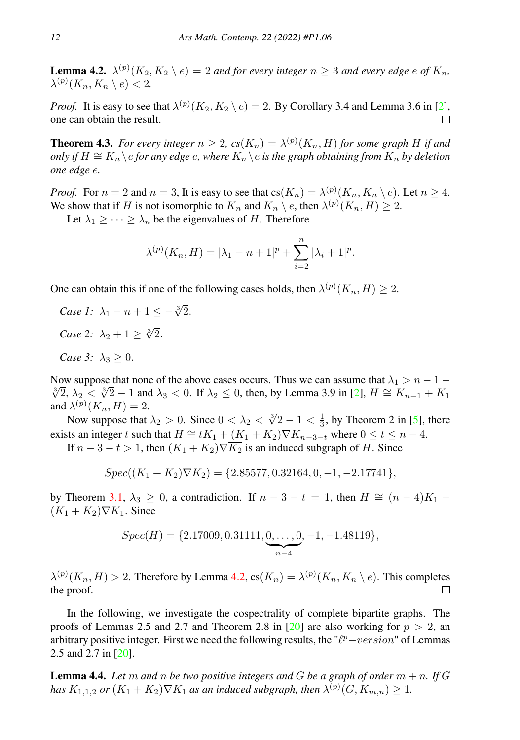<span id="page-11-0"></span>**Lemma 4.2.**  $\lambda^{(p)}(K_2, K_2 \setminus e) = 2$  *and for every integer*  $n \geq 3$  *and every edge e of*  $K_n$ *,*  $\lambda^{(p)}(K_n, K_n \setminus e) < 2.$ 

*Proof.* It is easy to see that  $\lambda^{(p)}(K_2, K_2 \setminus e) = 2$ . By Corollary 3.4 and Lemma 3.6 in [\[2\]](#page-13-2), one can obtain the result.  $\Box$ 

**Theorem 4.3.** For every integer  $n \geq 2$ ,  $cs(K_n) = \lambda^{(p)}(K_n, H)$  for some graph H if and *only if*  $H \cong K_n \backslash e$  *for any edge*  $e$ *, where*  $K_n \backslash e$  *is the graph obtaining from*  $K_n$  *by deletion one edge* e*.*

*Proof.* For  $n = 2$  and  $n = 3$ , It is easy to see that  $cs(K_n) = \lambda^{(p)}(K_n, K_n \setminus e)$ . Let  $n \ge 4$ . We show that if H is not isomorphic to  $K_n$  and  $K_n \setminus e$ , then  $\lambda^{(p)}(K_n, H) \geq 2$ .

Let  $\lambda_1 \geq \cdots \geq \lambda_n$  be the eigenvalues of H. Therefore

$$
\lambda^{(p)}(K_n, H) = |\lambda_1 - n + 1|^p + \sum_{i=2}^n |\lambda_i + 1|^p.
$$

One can obtain this if one of the following cases holds, then  $\lambda^{(p)}(K_n, H) \geq 2$ .

*Case 1:*  $\lambda_1 - n + 1 \leq -\sqrt[3]{2}$ . *Case* 2:  $\lambda_2 + 1 \geq \sqrt[3]{2}$ . *Case 3:*  $\lambda_3 > 0$ .

Now suppose that none of the above cases occurs. Thus we can assume that  $\lambda_1 > n - 1 - 1$ SW suppose that none of the above cases occurs. Thus we can assume that  $λ_1 > n - 1 - \overline{2}$ ,  $λ_2 < \sqrt[3]{2} - 1$  and  $λ_3 < 0$ . If  $λ_2 \le 0$ , then, by Lemma 3.9 in [\[2\]](#page-13-2),  $H \cong K_{n-1} + K_1$ and  $\lambda^{(p)}(K_n, H) = 2$ .

 $\lambda^{\alpha}(\mathbf{A}_n, \mathbf{A}) = \lambda$ .<br>Now suppose that  $\lambda_2 > 0$ . Since  $0 < \lambda_2 < \sqrt[3]{2} - 1 < \frac{1}{3}$ , by Theorem 2 in [\[5\]](#page-13-15), there exists an integer t such that  $H \cong tK_1 + (K_1 + K_2) \nabla \overline{K_{n-3-t}}$  where  $0 \le t \le n-4$ .

If  $n-3-t>1$ , then  $(K_1 + K_2)\nabla \overline{K_2}$  is an induced subgraph of H. Since

$$
Spec((K_1 + K_2)\nabla \overline{K_2}) = \{2.85577, 0.32164, 0, -1, -2.17741\},\
$$

by Theorem [3.1,](#page-7-8)  $\lambda_3 \geq 0$ , a contradiction. If  $n - 3 - t = 1$ , then  $H \cong (n - 4)K_1 +$  $(K_1 + K_2)\nabla \overline{K_1}$ . Since

$$
Spec(H) = \{2.17009, 0.31111, \underbrace{0, \ldots, 0}_{n-4}, -1, -1.48119\},
$$

 $\lambda^{(p)}(K_n, H) > 2$ . Therefore by Lemma [4.2,](#page-11-0)  $\text{cs}(K_n) = \lambda^{(p)}(K_n, K_n \setminus e)$ . This completes the proof.  $\Box$ 

In the following, we investigate the cospectrality of complete bipartite graphs. The proofs of Lemmas 2.5 and 2.7 and Theorem 2.8 in [\[20\]](#page-13-3) are also working for  $p > 2$ , an arbitrary positive integer. First we need the following results, the " $\ell^p$ -version" of Lemmas2.5 and 2.7 in [\[20\]](#page-13-3).

**Lemma 4.4.** Let m and n be two positive integers and G be a graph of order  $m + n$ . If G *has*  $K_{1,1,2}$  or  $(K_1 + K_2) \nabla K_1$  *as an induced subgraph, then*  $\lambda^{(p)}(G, K_{m,n}) \geq 1$ *.*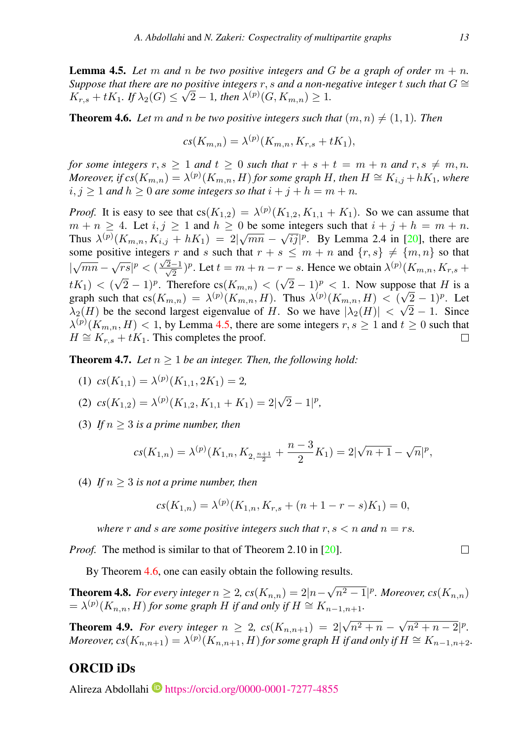<span id="page-12-0"></span>**Lemma 4.5.** Let m and n be two positive integers and G be a graph of order  $m + n$ . *Suppose that there are no positive integers* r, s and a non-negative integer t *such that*  $G \cong$  $K_{r,s} + tK_1$ *.* If  $\lambda_2(G) \leq \sqrt{2} - 1$ *, then*  $\lambda^{(p)}(G, K_{m,n}) \geq 1$ *.* 

<span id="page-12-1"></span>**Theorem 4.6.** Let m and n be two positive integers such that  $(m, n) \neq (1, 1)$ . Then

$$
cs(K_{m,n}) = \lambda^{(p)}(K_{m,n}, K_{r,s} + tK_1),
$$

*for some integers*  $r, s \ge 1$  *and*  $t \ge 0$  *such that*  $r + s + t = m + n$  *and*  $r, s \ne m, n$ *. Moreover, if*  $cs(K_{m,n}) = \lambda^{(p)}(K_{m,n}, H)$  *for some graph H, then*  $H \cong K_{i,j} + hK_1$ *, where*  $i, j \geq 1$  *and*  $h \geq 0$  *are some integers so that*  $i + j + h = m + n$ *.* 

*Proof.* It is easy to see that  $cs(K_{1,2}) = \lambda^{(p)}(K_{1,2}, K_{1,1} + K_1)$ . So we can assume that  $m + n \geq 4$ . Let  $i, j \geq 1$  and  $h \geq 0$  be some integers such that  $i + j + h = m + n$ . Thus  $\lambda^{(p)}(K_{m,n}, K_{i,j} + hK_1) = 2|\sqrt{mn} - \sqrt{i}j|^p$ . By Lemma 2.4 in [\[20\]](#page-13-3), there are some positive integers r and s such that  $r + s \leq m + n$  and  $\{r, s\} \neq \{m, n\}$  so that  $|\sqrt{mn} - \sqrt{rs}|^p < (\frac{\sqrt{}}{\sqrt{}})$  $\frac{2-1}{2}$  $\frac{(-1)^n}{2}$ )<sup>*p*</sup>. Let  $t = m + n - r - s$ . Hence we obtain  $\lambda^{(p)}(K_{m,n}, K_{r,s} + s)$  $\sqrt{2} - 1$ )<sup>p</sup>. Therefore cs( $K_{m,n}$ ) < (  $\sqrt{2} - 1$ )<sup>p</sup> < 1. Now suppose that H is a  $tK_1$ ) < ( graph such that  $cs(K_{m,n}) = \lambda^{(p)}(K_{m,n}, H)$ . Thus  $\lambda^{(p)}(K_{m,n}, H) < (\sqrt{2} - 1)^p$ . Let  $\lambda_2(H)$  be the second largest eigenvalue of H. So we have  $|\lambda_2(H)| < \sqrt{2} - 1$ . Since  $\lambda^{(p)}(K_{m,n}, H) < 1$ , by Lemma [4.5,](#page-12-0) there are some integers  $r, s \ge 1$  and  $t \ge 0$  such that  $H \cong K_{r,s} + tK_1$ . This completes the proof.  $\Box$ 

**Theorem 4.7.** *Let*  $n > 1$  *be an integer. Then, the following hold:* 

(1)  $cs(K_{1,1}) = \lambda^{(p)}(K_{1,1}, 2K_1) = 2,$ 

(2) 
$$
cs(K_{1,2}) = \lambda^{(p)}(K_{1,2}, K_{1,1} + K_1) = 2|\sqrt{2} - 1|^p
$$
,

(3) If  $n \geq 3$  is a prime number, then

$$
cs(K_{1,n}) = \lambda^{(p)}(K_{1,n}, K_{2, \frac{n+1}{2}} + \frac{n-3}{2}K_1) = 2|\sqrt{n+1} - \sqrt{n}|^p,
$$

(4) If  $n > 3$  is not a prime number, then

$$
cs(K_{1,n}) = \lambda^{(p)}(K_{1,n}, K_{r,s} + (n+1-r-s)K_1) = 0,
$$

*where* r and *s* are some positive integers such that  $r, s < n$  and  $n = rs$ .

*Proof.* The method is similar to that of Theorem 2.10 in [\[20\]](#page-13-3).

By Theorem [4.6,](#page-12-1) one can easily obtain the following results.

**Theorem 4.8.** *For every integer*  $n \geq 2$ ,  $cs(K_{n,n}) = 2|n-1|$  $\sqrt{n^2-1}$ |<sup>p</sup>. Moreover, cs $(K_{n,n})$  $= \lambda^{(p)}(K_{n,n}, H)$  *for some graph* H *if and only if*  $H \cong K_{n-1,n+1}$ *.* 

**Theorem 4.9.** *For every integer*  $n \geq 2$ ,  $cs(K_{n,n+1}) = 2$  $\sqrt{n^2 + n} - \sqrt{n^2 + n - 2}$ |<sup>p</sup>. *Moreover,*  $cs(K_{n,n+1}) = \lambda^{(p)}(K_{n,n+1}, H)$  for some graph H if and only if  $H \cong K_{n-1,n+2}$ .

### ORCID iDs

Alireza Abdollahi <https://orcid.org/0000-0001-7277-4855>

 $\Box$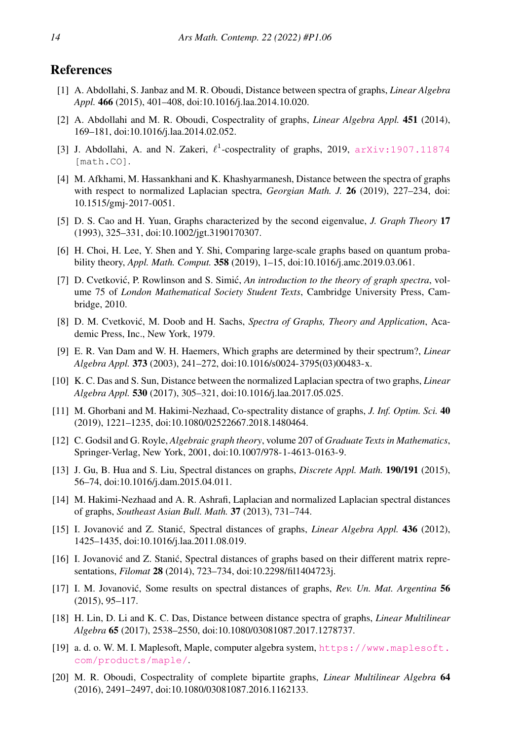### <span id="page-13-1"></span>**References**

- [1] A. Abdollahi, S. Janbaz and M. R. Oboudi, Distance between spectra of graphs, *Linear Algebra Appl.* 466 (2015), 401–408, doi:10.1016/j.laa.2014.10.020.
- <span id="page-13-2"></span>[2] A. Abdollahi and M. R. Oboudi, Cospectrality of graphs, *Linear Algebra Appl.* 451 (2014), 169–181, doi:10.1016/j.laa.2014.02.052.
- <span id="page-13-4"></span>[3] J. Abdollahi, A. and N. Zakeri,  $\ell^1$ -cospectrality of graphs, 2019,  $arXiv:1907.11874$ [math.CO].
- <span id="page-13-5"></span>[4] M. Afkhami, M. Hassankhani and K. Khashyarmanesh, Distance between the spectra of graphs with respect to normalized Laplacian spectra, *Georgian Math. J.* 26 (2019), 227–234, doi: 10.1515/gmj-2017-0051.
- <span id="page-13-15"></span>[5] D. S. Cao and H. Yuan, Graphs characterized by the second eigenvalue, *J. Graph Theory* 17 (1993), 325–331, doi:10.1002/jgt.3190170307.
- <span id="page-13-13"></span>[6] H. Choi, H. Lee, Y. Shen and Y. Shi, Comparing large-scale graphs based on quantum probability theory, *Appl. Math. Comput.* 358 (2019), 1–15, doi:10.1016/j.amc.2019.03.061.
- <span id="page-13-16"></span>[7] D. Cvetković, P. Rowlinson and S. Simić, *An introduction to the theory of graph spectra*, volume 75 of *London Mathematical Society Student Texts*, Cambridge University Press, Cambridge, 2010.
- <span id="page-13-19"></span>[8] D. M. Cvetković, M. Doob and H. Sachs, *Spectra of Graphs, Theory and Application*, Academic Press, Inc., New York, 1979.
- <span id="page-13-14"></span>[9] E. R. Van Dam and W. H. Haemers, Which graphs are determined by their spectrum?, *Linear Algebra Appl.* 373 (2003), 241–272, doi:10.1016/s0024-3795(03)00483-x.
- <span id="page-13-6"></span>[10] K. C. Das and S. Sun, Distance between the normalized Laplacian spectra of two graphs, *Linear Algebra Appl.* 530 (2017), 305–321, doi:10.1016/j.laa.2017.05.025.
- <span id="page-13-7"></span>[11] M. Ghorbani and M. Hakimi-Nezhaad, Co-spectrality distance of graphs, *J. Inf. Optim. Sci.* 40 (2019), 1221–1235, doi:10.1080/02522667.2018.1480464.
- <span id="page-13-18"></span>[12] C. Godsil and G. Royle, *Algebraic graph theory*, volume 207 of *Graduate Texts in Mathematics*, Springer-Verlag, New York, 2001, doi:10.1007/978-1-4613-0163-9.
- <span id="page-13-8"></span>[13] J. Gu, B. Hua and S. Liu, Spectral distances on graphs, *Discrete Appl. Math.* 190/191 (2015), 56–74, doi:10.1016/j.dam.2015.04.011.
- <span id="page-13-9"></span>[14] M. Hakimi-Nezhaad and A. R. Ashrafi, Laplacian and normalized Laplacian spectral distances of graphs, *Southeast Asian Bull. Math.* 37 (2013), 731–744.
- <span id="page-13-0"></span>[15] I. Jovanović and Z. Stanić, Spectral distances of graphs, *Linear Algebra Appl.* 436 (2012), 1425–1435, doi:10.1016/j.laa.2011.08.019.
- <span id="page-13-10"></span>[16] I. Jovanović and Z. Stanić, Spectral distances of graphs based on their different matrix representations, *Filomat* 28 (2014), 723–734, doi:10.2298/fil1404723j.
- <span id="page-13-11"></span>[17] I. M. Jovanovic, Some results on spectral distances of graphs, ´ *Rev. Un. Mat. Argentina* 56 (2015), 95–117.
- <span id="page-13-12"></span>[18] H. Lin, D. Li and K. C. Das, Distance between distance spectra of graphs, *Linear Multilinear Algebra* 65 (2017), 2538–2550, doi:10.1080/03081087.2017.1278737.
- <span id="page-13-17"></span>[19] a. d. o. W. M. I. Maplesoft, Maple, computer algebra system, [https://www.maplesoft.](https://www.maplesoft.com/products/maple/) [com/products/maple/](https://www.maplesoft.com/products/maple/).
- <span id="page-13-3"></span>[20] M. R. Oboudi, Cospectrality of complete bipartite graphs, *Linear Multilinear Algebra* 64 (2016), 2491–2497, doi:10.1080/03081087.2016.1162133.